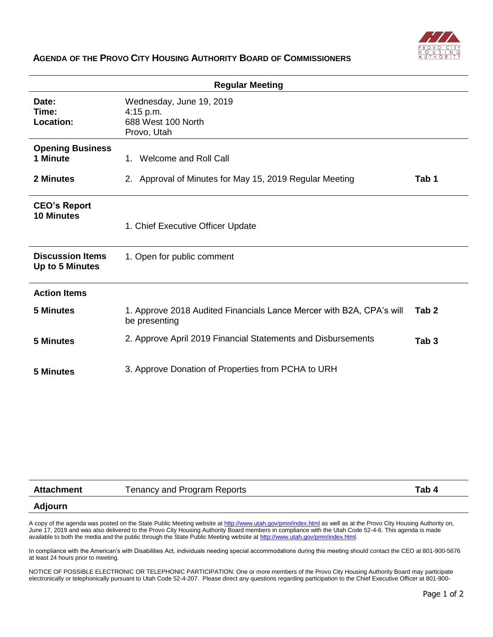

## **AGENDA OF THE PROVO CITY HOUSING AUTHORITY BOARD OF COMMISSIONERS**

| <b>Regular Meeting</b>                     |                                                                                       |                  |  |
|--------------------------------------------|---------------------------------------------------------------------------------------|------------------|--|
| Date:<br>Time:<br>Location:                | Wednesday, June 19, 2019<br>$4:15$ p.m.<br>688 West 100 North<br>Provo, Utah          |                  |  |
| <b>Opening Business</b><br>1 Minute        | Welcome and Roll Call<br>$1_{-}$                                                      |                  |  |
| 2 Minutes                                  | 2. Approval of Minutes for May 15, 2019 Regular Meeting                               | Tab 1            |  |
| <b>CEO's Report</b><br><b>10 Minutes</b>   | 1. Chief Executive Officer Update                                                     |                  |  |
| <b>Discussion Items</b><br>Up to 5 Minutes | 1. Open for public comment                                                            |                  |  |
| <b>Action Items</b>                        |                                                                                       |                  |  |
| <b>5 Minutes</b>                           | 1. Approve 2018 Audited Financials Lance Mercer with B2A, CPA's will<br>be presenting | Tab 2            |  |
| 5 Minutes                                  | 2. Approve April 2019 Financial Statements and Disbursements                          | Tab <sub>3</sub> |  |
| <b>5 Minutes</b>                           | 3. Approve Donation of Properties from PCHA to URH                                    |                  |  |

| <b>Attachment</b> | Tenancy and Program Reports | Tab 4 |
|-------------------|-----------------------------|-------|
| <b>Adjourn</b>    |                             |       |

A copy of the agenda was posted on the State Public Meeting website a[t http://www.utah.gov/pmn/index.html](http://www.utah.gov/pmn/index.html) as well as at the Provo City Housing Authority on, June 17, 2019 and was also delivered to the Provo City Housing Authority Board members in compliance with the Utah Code 52-4-6. This agenda is made available to both the media and the public through the State Public Meeting website a[t http://www.utah.gov/pmn/index.html.](http://www.utah.gov/pmn/index.html)

In compliance with the American's with Disabilities Act, individuals needing special accommodations during this meeting should contact the CEO at 801-900-5676 at least 24 hours prior to meeting.

NOTICE OF POSSIBLE ELECTRONIC OR TELEPHONIC PARTICIPATION: One or more members of the Provo City Housing Authority Board may participate electronically or telephonically pursuant to Utah Code 52-4-207. Please direct any questions regarding participation to the Chief Executive Officer at 801-900-